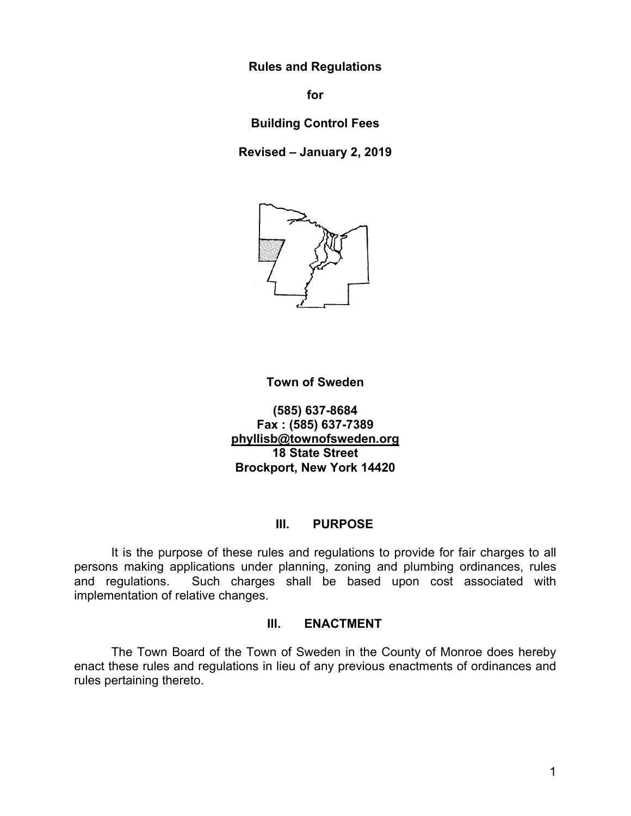**Rules and Regulations** 

**for** 

**Building Control Fees** 

**Revised – January 2, 2019** 



#### **Town of Sweden**

**(585) 637-8684 Fax : (585) 637-7389 phyllisb@townofsweden.org 18 State Street Brockport, New York 14420** 

#### **III. PURPOSE**

 It is the purpose of these rules and regulations to provide for fair charges to all persons making applications under planning, zoning and plumbing ordinances, rules and regulations. Such charges shall be based upon cost associated with implementation of relative changes.

#### **III. ENACTMENT**

The Town Board of the Town of Sweden in the County of Monroe does hereby enact these rules and regulations in lieu of any previous enactments of ordinances and rules pertaining thereto.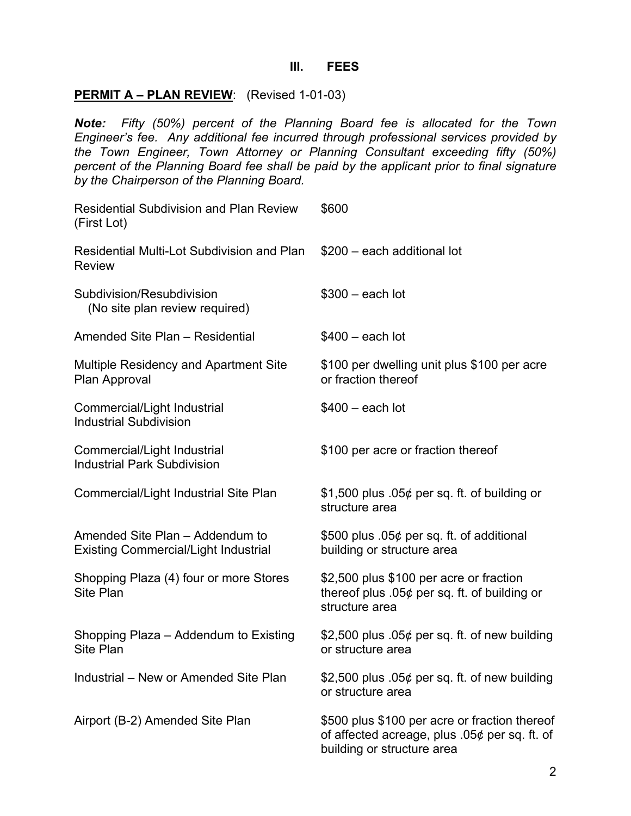#### **III. FEES**

## **PERMIT A – PLAN REVIEW**: (Revised 1-01-03)

*Note: Fifty (50%) percent of the Planning Board fee is allocated for the Town Engineer's fee. Any additional fee incurred through professional services provided by the Town Engineer, Town Attorney or Planning Consultant exceeding fifty (50%) percent of the Planning Board fee shall be paid by the applicant prior to final signature by the Chairperson of the Planning Board.* 

| <b>Residential Subdivision and Plan Review</b><br>(First Lot)                  | \$600                                                                                                                          |
|--------------------------------------------------------------------------------|--------------------------------------------------------------------------------------------------------------------------------|
| Residential Multi-Lot Subdivision and Plan<br><b>Review</b>                    | \$200 - each additional lot                                                                                                    |
| Subdivision/Resubdivision<br>(No site plan review required)                    | $$300 - each lot$                                                                                                              |
| Amended Site Plan - Residential                                                | $$400 - each lot$                                                                                                              |
| <b>Multiple Residency and Apartment Site</b><br>Plan Approval                  | \$100 per dwelling unit plus \$100 per acre<br>or fraction thereof                                                             |
| Commercial/Light Industrial<br><b>Industrial Subdivision</b>                   | $$400 - each lot$                                                                                                              |
| Commercial/Light Industrial<br><b>Industrial Park Subdivision</b>              | \$100 per acre or fraction thereof                                                                                             |
| Commercial/Light Industrial Site Plan                                          | \$1,500 plus .05 $\phi$ per sq. ft. of building or<br>structure area                                                           |
| Amended Site Plan - Addendum to<br><b>Existing Commercial/Light Industrial</b> | \$500 plus .05¢ per sq. ft. of additional<br>building or structure area                                                        |
| Shopping Plaza (4) four or more Stores<br>Site Plan                            | \$2,500 plus \$100 per acre or fraction<br>thereof plus .05 $¢$ per sq. ft. of building or<br>structure area                   |
| Shopping Plaza - Addendum to Existing<br>Site Plan                             | \$2,500 plus $.05¢$ per sq. ft. of new building<br>or structure area                                                           |
| Industrial - New or Amended Site Plan                                          | \$2,500 plus $.05¢$ per sq. ft. of new building<br>or structure area                                                           |
| Airport (B-2) Amended Site Plan                                                | \$500 plus \$100 per acre or fraction thereof<br>of affected acreage, plus $.05¢$ per sq. ft. of<br>building or structure area |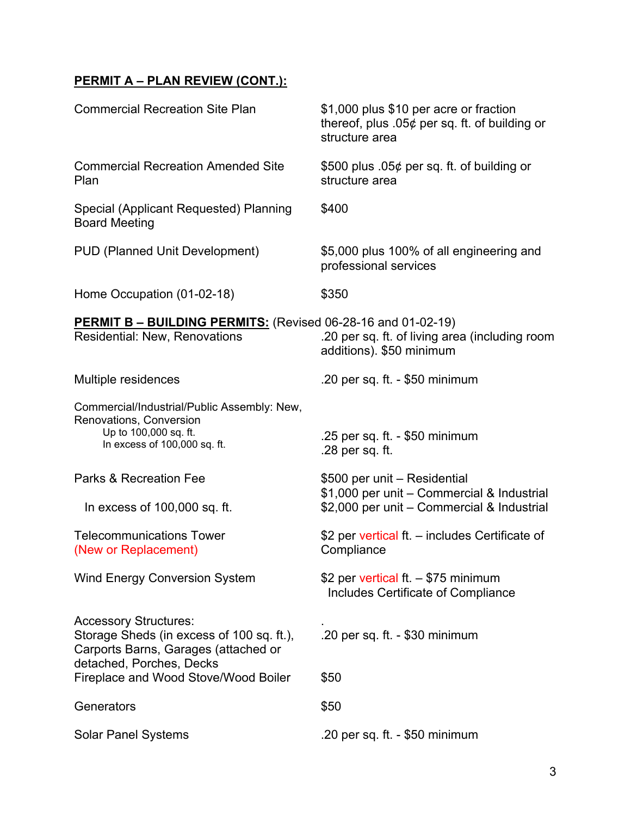# **PERMIT A – PLAN REVIEW (CONT.):**

| <b>Commercial Recreation Site Plan</b>                                                                                                        | \$1,000 plus \$10 per acre or fraction<br>thereof, plus $.05¢$ per sq. ft. of building or<br>structure area              |
|-----------------------------------------------------------------------------------------------------------------------------------------------|--------------------------------------------------------------------------------------------------------------------------|
| <b>Commercial Recreation Amended Site</b><br>Plan                                                                                             | \$500 plus .05 $\phi$ per sq. ft. of building or<br>structure area                                                       |
| Special (Applicant Requested) Planning<br><b>Board Meeting</b>                                                                                | \$400                                                                                                                    |
| PUD (Planned Unit Development)                                                                                                                | \$5,000 plus 100% of all engineering and<br>professional services                                                        |
| Home Occupation (01-02-18)                                                                                                                    | \$350                                                                                                                    |
| <b>PERMIT B - BUILDING PERMITS:</b> (Revised 06-28-16 and 01-02-19)<br>Residential: New, Renovations                                          | .20 per sq. ft. of living area (including room<br>additions). \$50 minimum                                               |
| Multiple residences                                                                                                                           | .20 per sq. ft. $-$ \$50 minimum                                                                                         |
| Commercial/Industrial/Public Assembly: New,<br>Renovations, Conversion<br>Up to 100,000 sq. ft.<br>In excess of 100,000 sq. ft.               | .25 per sq. ft. - $$50$ minimum<br>.28 per sq. ft.                                                                       |
| Parks & Recreation Fee<br>In excess of 100,000 sq. ft.                                                                                        | \$500 per unit - Residential<br>\$1,000 per unit - Commercial & Industrial<br>\$2,000 per unit - Commercial & Industrial |
| <b>Telecommunications Tower</b><br>(New or Replacement)                                                                                       | \$2 per vertical ft. - includes Certificate of<br>Compliance                                                             |
| <b>Wind Energy Conversion System</b>                                                                                                          | \$2 per vertical ft. $-$ \$75 minimum<br>Includes Certificate of Compliance                                              |
| <b>Accessory Structures:</b><br>Storage Sheds (in excess of 100 sq. ft.),<br>Carports Barns, Garages (attached or<br>detached, Porches, Decks | .20 per sq. ft. - $$30$ minimum                                                                                          |
| Fireplace and Wood Stove/Wood Boiler                                                                                                          | \$50                                                                                                                     |
| Generators                                                                                                                                    | \$50                                                                                                                     |
| <b>Solar Panel Systems</b>                                                                                                                    | .20 per sq. ft. $-$ \$50 minimum                                                                                         |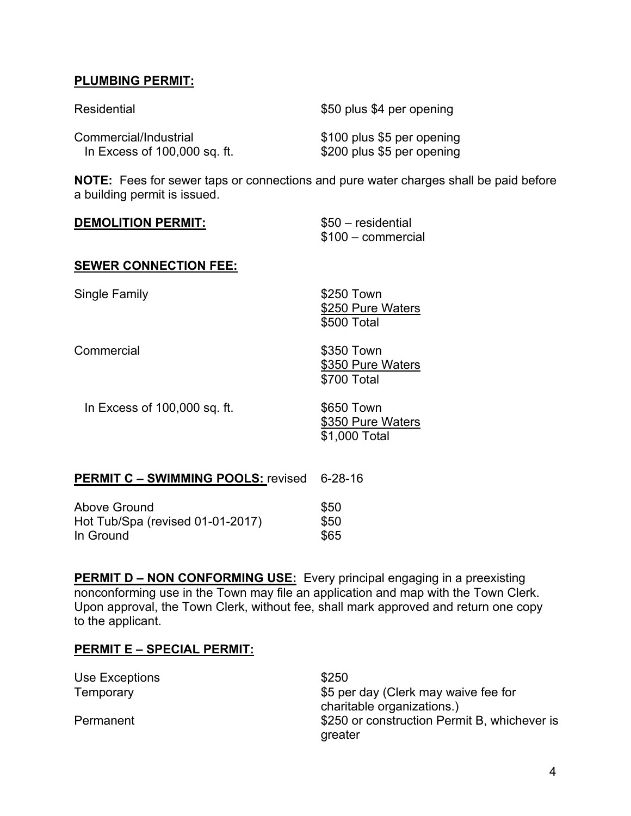## **PLUMBING PERMIT:**

| Residential                  | \$50 plus \$4 per opening  |
|------------------------------|----------------------------|
| Commercial/Industrial        | \$100 plus \$5 per opening |
| In Excess of 100,000 sq. ft. | \$200 plus \$5 per opening |

**NOTE:** Fees for sewer taps or connections and pure water charges shall be paid before a building permit is issued.

| <b>DEMOLITION PERMIT:</b> | \$50 - residential |
|---------------------------|--------------------|
|                           | \$100 - commercial |

#### **SEWER CONNECTION FEE:**

Single Family **Single Family S250 Town** 

**Commercial** 

\$250 Pure Waters \$500 Total \$350 Town \$350 Pure Waters

In Excess of 100,000 sq. ft.

\$650 Town \$350 Pure Waters \$1,000 Total

\$700 Total

### **PERMIT C – SWIMMING POOLS:** revised 6-28-16

| Above Ground                     | <b>\$50</b> |
|----------------------------------|-------------|
| Hot Tub/Spa (revised 01-01-2017) | \$50        |
| In Ground                        | \$65        |

**PERMIT D – NON CONFORMING USE:** Every principal engaging in a preexisting nonconforming use in the Town may file an application and map with the Town Clerk. Upon approval, the Town Clerk, without fee, shall mark approved and return one copy to the applicant.

### **PERMIT E – SPECIAL PERMIT:**

| Use Exceptions | \$250                                        |
|----------------|----------------------------------------------|
| Temporary      | \$5 per day (Clerk may waive fee for         |
|                | charitable organizations.)                   |
| Permanent      | \$250 or construction Permit B, whichever is |
|                | greater                                      |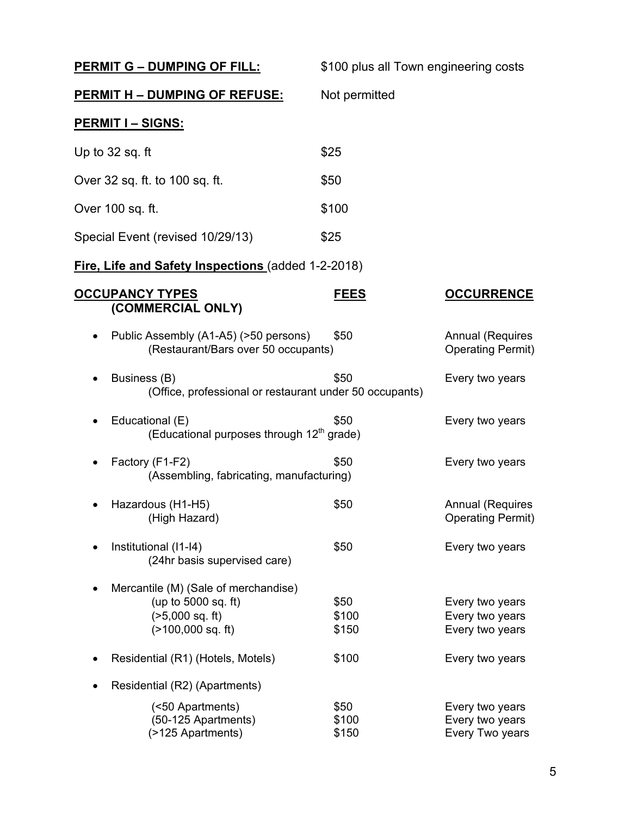| <b>PERMIT G - DUMPING OF FILL:</b>                                                                       | \$100 plus all Town engineering costs |                                                       |
|----------------------------------------------------------------------------------------------------------|---------------------------------------|-------------------------------------------------------|
| <u> PERMIT H – DUMPING OF REFUSE:</u>                                                                    | Not permitted                         |                                                       |
| <b>PERMIT I - SIGNS:</b>                                                                                 |                                       |                                                       |
| Up to 32 sq. ft                                                                                          | \$25                                  |                                                       |
| Over 32 sq. ft. to 100 sq. ft.                                                                           | \$50                                  |                                                       |
| Over 100 sq. ft.                                                                                         | \$100                                 |                                                       |
| Special Event (revised 10/29/13)                                                                         | \$25                                  |                                                       |
| <b>Fire, Life and Safety Inspections (added 1-2-2018)</b>                                                |                                       |                                                       |
| <b>OCCUPANCY TYPES</b><br>(COMMERCIAL ONLY)                                                              | <b>FEES</b>                           | <b>OCCURRENCE</b>                                     |
| Public Assembly (A1-A5) (>50 persons)<br>٠<br>(Restaurant/Bars over 50 occupants)                        | \$50                                  | <b>Annual (Requires</b><br><b>Operating Permit)</b>   |
| Business (B)<br>(Office, professional or restaurant under 50 occupants)                                  | \$50                                  | Every two years                                       |
| Educational (E)<br>$\bullet$<br>(Educational purposes through 12 <sup>th</sup> grade)                    | \$50                                  | Every two years                                       |
| Factory (F1-F2)<br>(Assembling, fabricating, manufacturing)                                              | \$50                                  | Every two years                                       |
| Hazardous (H1-H5)<br>(High Hazard)                                                                       | \$50                                  | <b>Annual (Requires</b><br><b>Operating Permit)</b>   |
| Institutional (I1-I4)<br>(24hr basis supervised care)                                                    | \$50                                  | Every two years                                       |
| Mercantile (M) (Sale of merchandise)<br>(up to 5000 sq. ft)<br>$(>5,000$ sq. ft)<br>$($ >100,000 sq. ft) | \$50<br>\$100<br>\$150                | Every two years<br>Every two years<br>Every two years |
| Residential (R1) (Hotels, Motels)                                                                        | \$100                                 | Every two years                                       |
| Residential (R2) (Apartments)                                                                            |                                       |                                                       |
| (<50 Apartments)<br>(50-125 Apartments)<br>(>125 Apartments)                                             | \$50<br>\$100<br>\$150                | Every two years<br>Every two years<br>Every Two years |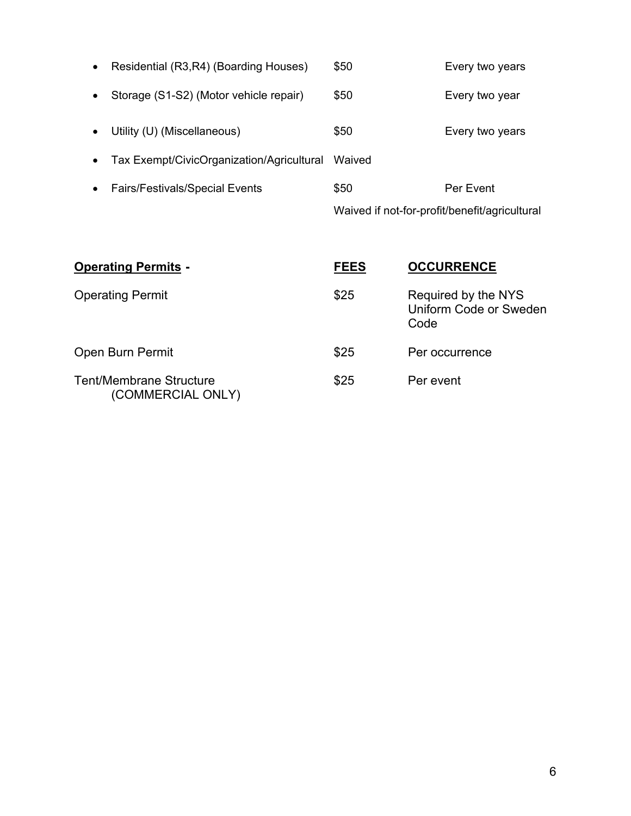|                                                        |        | Waived if not-for-profit/benefit/agricultural |
|--------------------------------------------------------|--------|-----------------------------------------------|
| <b>Fairs/Festivals/Special Events</b><br>$\bullet$     | \$50   | Per Event                                     |
| Tax Exempt/CivicOrganization/Agricultural<br>$\bullet$ | Waived |                                               |
| Utility (U) (Miscellaneous)                            | \$50   | Every two years                               |
| Storage (S1-S2) (Motor vehicle repair)                 | \$50   | Every two year                                |
| Residential (R3,R4) (Boarding Houses)<br>$\bullet$     | \$50   | Every two years                               |

| <b>Operating Permits -</b>                          | <b>FEES</b> | <b>OCCURRENCE</b>                                     |
|-----------------------------------------------------|-------------|-------------------------------------------------------|
| <b>Operating Permit</b>                             | \$25        | Required by the NYS<br>Uniform Code or Sweden<br>Code |
| Open Burn Permit                                    | \$25        | Per occurrence                                        |
| <b>Tent/Membrane Structure</b><br>(COMMERCIAL ONLY) | \$25        | Per event                                             |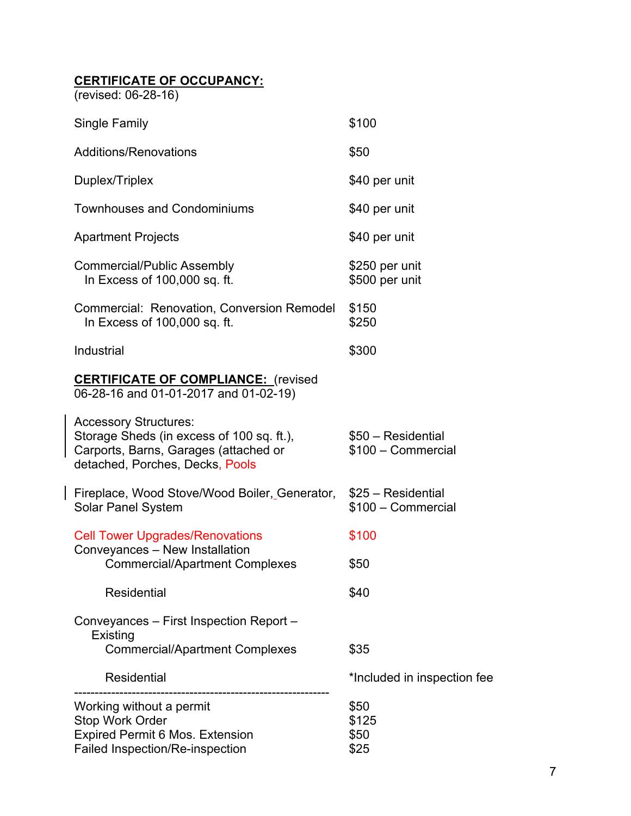## **CERTIFICATE OF OCCUPANCY:**

(revised: 06-28-16)

| Single Family                                                                                                                                         | \$100                                    |
|-------------------------------------------------------------------------------------------------------------------------------------------------------|------------------------------------------|
| <b>Additions/Renovations</b>                                                                                                                          | \$50                                     |
| Duplex/Triplex                                                                                                                                        | \$40 per unit                            |
| <b>Townhouses and Condominiums</b>                                                                                                                    | \$40 per unit                            |
| <b>Apartment Projects</b>                                                                                                                             | \$40 per unit                            |
| <b>Commercial/Public Assembly</b><br>In Excess of 100,000 sq. ft.                                                                                     | \$250 per unit<br>\$500 per unit         |
| Commercial: Renovation, Conversion Remodel<br>In Excess of 100,000 sq. ft.                                                                            | \$150<br>\$250                           |
| Industrial                                                                                                                                            | \$300                                    |
| <b>CERTIFICATE OF COMPLIANCE:</b> (revised<br>06-28-16 and 01-01-2017 and 01-02-19)                                                                   |                                          |
| <b>Accessory Structures:</b><br>Storage Sheds (in excess of 100 sq. ft.),<br>Carports, Barns, Garages (attached or<br>detached, Porches, Decks, Pools | \$50 - Residential<br>\$100 - Commercial |
| Fireplace, Wood Stove/Wood Boiler, Generator,<br><b>Solar Panel System</b>                                                                            | \$25 - Residential<br>\$100 - Commercial |
| <b>Cell Tower Upgrades/Renovations</b>                                                                                                                | \$100                                    |
| Conveyances - New Installation<br><b>Commercial/Apartment Complexes</b>                                                                               | \$50                                     |
| Residential                                                                                                                                           | \$40                                     |
| Conveyances – First Inspection Report –<br>Existing                                                                                                   |                                          |
| <b>Commercial/Apartment Complexes</b>                                                                                                                 | \$35                                     |
| <b>Residential</b>                                                                                                                                    | *Included in inspection fee              |
| Working without a permit<br><b>Stop Work Order</b><br>Expired Permit 6 Mos. Extension<br>Failed Inspection/Re-inspection                              | \$50<br>\$125<br>\$50<br>\$25            |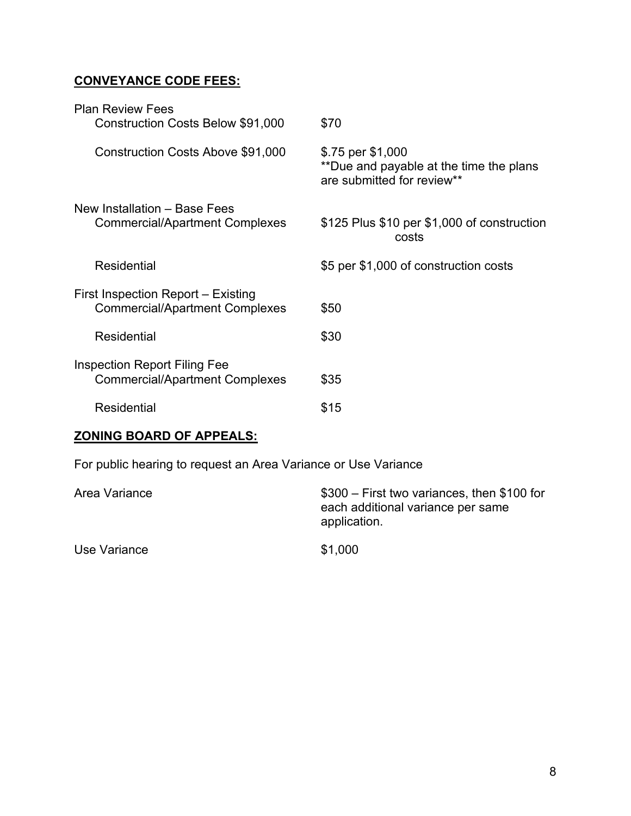# **CONVEYANCE CODE FEES:**

| <b>Plan Review Fees</b>                                                      |                                                                                            |
|------------------------------------------------------------------------------|--------------------------------------------------------------------------------------------|
| Construction Costs Below \$91,000                                            | \$70                                                                                       |
| Construction Costs Above \$91,000                                            | \$.75 per \$1,000<br>**Due and payable at the time the plans<br>are submitted for review** |
| New Installation - Base Fees<br><b>Commercial/Apartment Complexes</b>        | \$125 Plus \$10 per \$1,000 of construction<br>costs                                       |
| <b>Residential</b>                                                           | \$5 per \$1,000 of construction costs                                                      |
| First Inspection Report – Existing<br><b>Commercial/Apartment Complexes</b>  | \$50                                                                                       |
| Residential                                                                  | \$30                                                                                       |
| <b>Inspection Report Filing Fee</b><br><b>Commercial/Apartment Complexes</b> | \$35                                                                                       |
| Residential                                                                  | \$15                                                                                       |
|                                                                              |                                                                                            |

# **ZONING BOARD OF APPEALS:**

For public hearing to request an Area Variance or Use Variance

| Area Variance | \$300 – First two variances, then \$100 for<br>each additional variance per same<br>application. |
|---------------|--------------------------------------------------------------------------------------------------|
| Use Variance  | \$1,000                                                                                          |